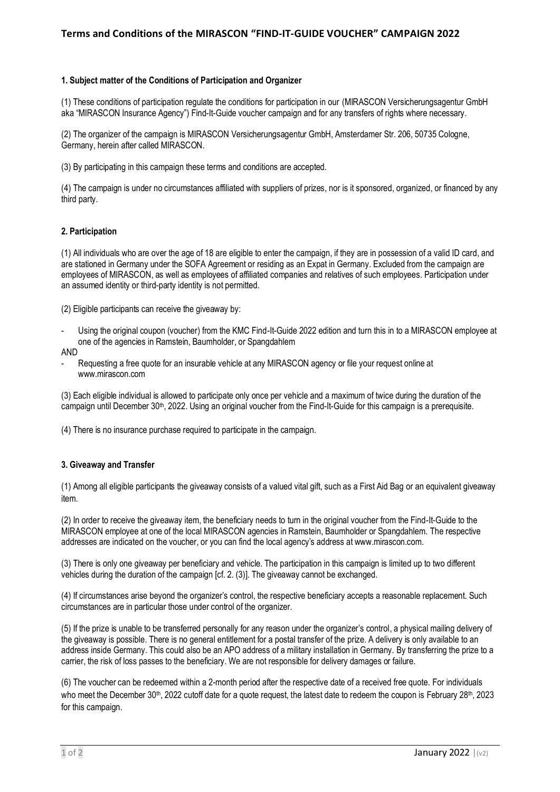## **Terms and Conditions of the MIRASCON "FIND-IT-GUIDE VOUCHER" CAMPAIGN 2022**

#### **1. Subject matter of the Conditions of Participation and Organizer**

(1) These conditions of participation regulate the conditions for participation in our (MIRASCON Versicherungsagentur GmbH aka "MIRASCON Insurance Agency") Find-It-Guide voucher campaign and for any transfers of rights where necessary.

(2) The organizer of the campaign is MIRASCON Versicherungsagentur GmbH, Amsterdamer Str. 206, 50735 Cologne, Germany, herein after called MIRASCON.

(3) By participating in this campaign these terms and conditions are accepted.

(4) The campaign is under no circumstances affiliated with suppliers of prizes, nor is it sponsored, organized, or financed by any third party.

### **2. Participation**

(1) All individuals who are over the age of 18 are eligible to enter the campaign, if they are in possession of a valid ID card, and are stationed in Germany under the SOFA Agreement or residing as an Expat in Germany. Excluded from the campaign are employees of MIRASCON, as well as employees of affiliated companies and relatives of such employees. Participation under an assumed identity or third-party identity is not permitted.

(2) Eligible participants can receive the giveaway by:

- Using the original coupon (voucher) from the KMC Find-It-Guide 2022 edition and turn this in to a MIRASCON employee at one of the agencies in Ramstein, Baumholder, or Spangdahlem
- AND
- Requesting a free quote for an insurable vehicle at any MIRASCON agency or file your request online at www.mirascon.com

(3) Each eligible individual is allowed to participate only once per vehicle and a maximum of twice during the duration of the campaign until December 30<sup>th</sup>, 2022. Using an original voucher from the Find-It-Guide for this campaign is a prerequisite.

(4) There is no insurance purchase required to participate in the campaign.

## **3. Giveaway and Transfer**

(1) Among all eligible participants the giveaway consists of a valued vital gift, such as a First Aid Bag or an equivalent giveaway item.

(2) In order to receive the giveaway item, the beneficiary needs to turn in the original voucher from the Find-It-Guide to the MIRASCON employee at one of the local MIRASCON agencies in Ramstein, Baumholder or Spangdahlem. The respective addresses are indicated on the voucher, or you can find the local agency's address at www.mirascon.com.

(3) There is only one giveaway per beneficiary and vehicle. The participation in this campaign is limited up to two different vehicles during the duration of the campaign [cf. 2. (3)]. The giveaway cannot be exchanged.

(4) If circumstances arise beyond the organizer's control, the respective beneficiary accepts a reasonable replacement. Such circumstances are in particular those under control of the organizer.

(5) If the prize is unable to be transferred personally for any reason under the organizer's control, a physical mailing delivery of the giveaway is possible. There is no general entitlement for a postal transfer of the prize. A delivery is only available to an address inside Germany. This could also be an APO address of a military installation in Germany. By transferring the prize to a carrier, the risk of loss passes to the beneficiary. We are not responsible for delivery damages or failure.

(6) The voucher can be redeemed within a 2-month period after the respective date of a received free quote. For individuals who meet the December 30<sup>th</sup>, 2022 cutoff date for a quote request, the latest date to redeem the coupon is February 28<sup>th</sup>, 2023 for this campaign.